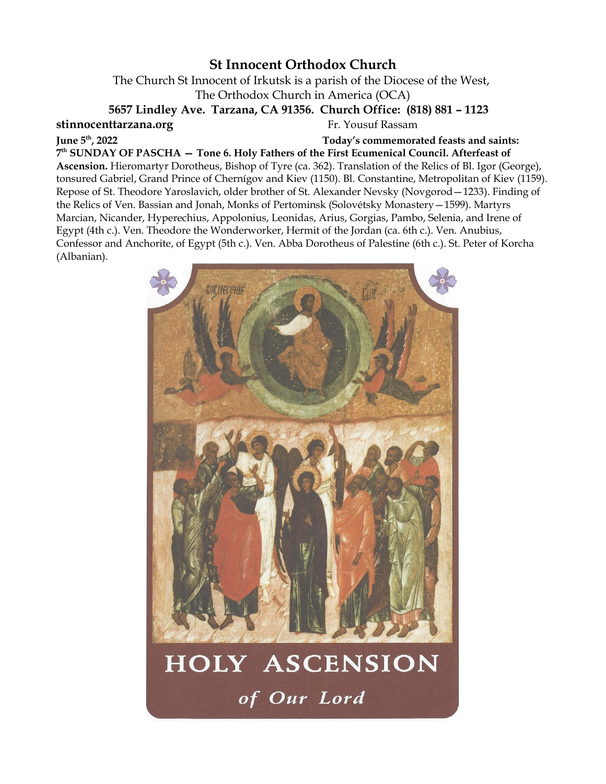# **St Innocent Orthodox Church**

The Church St Innocent of Irkutsk is a parish of the Diocese of the West, The Orthodox Church in America (OCA)

**5657 Lindley Ave. Tarzana, CA 91356. Church Office: (818) 881 – 1123** 

**stinnocenttarzana.org Fr. Yousuf Rassam** 

**June 5th, 2022 Today's commemorated feasts and saints:**

**7 th SUNDAY OF PASCHA — Tone 6. Holy Fathers of the First Ecumenical Council. Afterfeast of Ascension.** Hieromartyr Dorotheus, Bishop of Tyre (ca. 362). Translation of the Relics of Bl. Igor (George), tonsured Gabriel, Grand Prince of Chernígov and Kiev (1150). Bl. Constantine, Metropolitan of Kiev (1159). Repose of St. Theodore Yaroslavich, older brother of St. Alexander Nevsky (Novgorod—1233). Finding of the Relics of Ven. Bassian and Jonah, Monks of Pertominsk (Solovétsky Monastery—1599). Martyrs Marcian, Nicander, Hyperechius, Appolonius, Leonidas, Arius, Gorgias, Pambo, Selenia, and Irene of Egypt (4th c.). Ven. Theodore the Wonderworker, Hermit of the Jordan (ca. 6th c.). Ven. Anubius, Confessor and Anchorite, of Egypt (5th c.). Ven. Abba Dorotheus of Palestine (6th c.). St. Peter of Korcha (Albanian).



# HOLY ASCENSION of Our Lord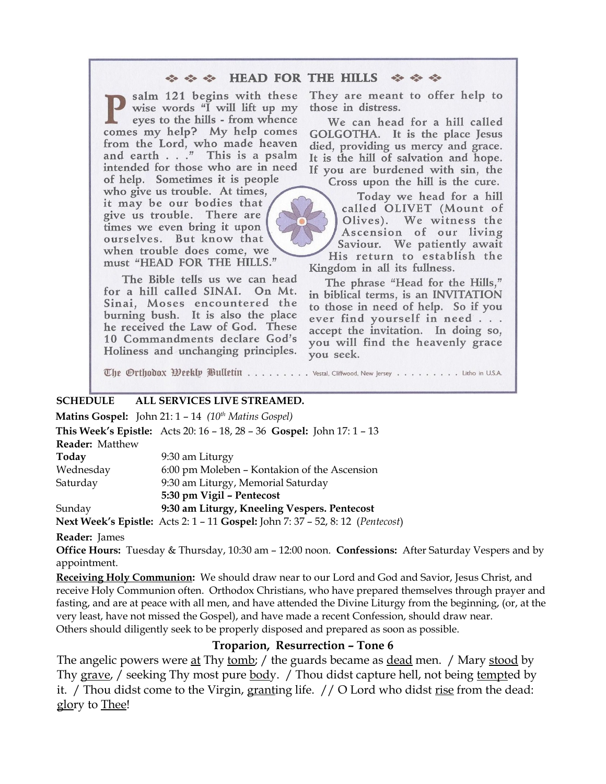#### $\Leftrightarrow$   $\Leftrightarrow$  HEAD FOR THE HILLS  $\Leftrightarrow$   $\Leftrightarrow$   $\Leftrightarrow$

salm 121 begins with these wise words "I will lift up my eyes to the hills - from whence comes my help? My help comes from the Lord, who made heaven and earth . . ." This is a psalm intended for those who are in need of help. Sometimes it is people

who give us trouble. At times, it may be our bodies that give us trouble. There are times we even bring it upon ourselves. But know that when trouble does come, we must "HEAD FOR THE HILLS."

The Bible tells us we can head for a hill called SINAI. On Mt. Sinai, Moses encountered the burning bush. It is also the place he received the Law of God. These 10 Commandments declare God's Holiness and unchanging principles. They are meant to offer help to those in distress.

We can head for a hill called GOLGOTHA. It is the place Jesus died, providing us mercy and grace. It is the hill of salvation and hope. If you are burdened with sin, the Cross upon the hill is the cure.

Today we head for a hill called OLIVET (Mount of We witness the Olives). Ascension of our living Saviour. We patiently await His return to establish the Kingdom in all its fullness.

The phrase "Head for the Hills," in biblical terms, is an INVITATION to those in need of help. So if you ever find yourself in need . . . accept the invitation. In doing so, you will find the heavenly grace you seek.

The Orthodox Weekly Bulletin ........ . Vestal, Cliffwood, New Jersey . . . . . . . . Litho in U.S.A.

#### **SCHEDULE ALL SERVICES LIVE STREAMED.**

**Matins Gospel:** John 21: 1 – 14 *(10th Matins Gospel)* **This Week's Epistle:** Acts 20: 16 – 18, 28 – 36 **Gospel:** John 17: 1 – 13 **Reader:** Matthew **Today** 9:30 am Liturgy Wednesday 6:00 pm Moleben – Kontakion of the Ascension Saturday 9:30 am Liturgy, Memorial Saturday **5:30 pm Vigil – Pentecost** Sunday **9:30 am Liturgy, Kneeling Vespers. Pentecost**

**Next Week's Epistle:** Acts 2: 1 – 11 **Gospel:** John 7: 37 – 52, 8: 12 (*Pentecost*)

#### **Reader:** James

**Office Hours:** Tuesday & Thursday, 10:30 am – 12:00 noon. **Confessions:** After Saturday Vespers and by appointment.

**Receiving Holy Communion:** We should draw near to our Lord and God and Savior, Jesus Christ, and receive Holy Communion often. Orthodox Christians, who have prepared themselves through prayer and fasting, and are at peace with all men, and have attended the Divine Liturgy from the beginning, (or, at the very least, have not missed the Gospel), and have made a recent Confession, should draw near. Others should diligently seek to be properly disposed and prepared as soon as possible.

#### **Troparion, Resurrection – Tone 6**

The angelic powers were <u>at</u> Thy <u>tomb</u>; / the guards became as <u>dead</u> men. / Mary <u>stood</u> by Thy grave, / seeking Thy most pure body. / Thou didst capture hell, not being tempted by it. / Thou didst come to the Virgin, granting life. // O Lord who didst rise from the dead: glory to Thee!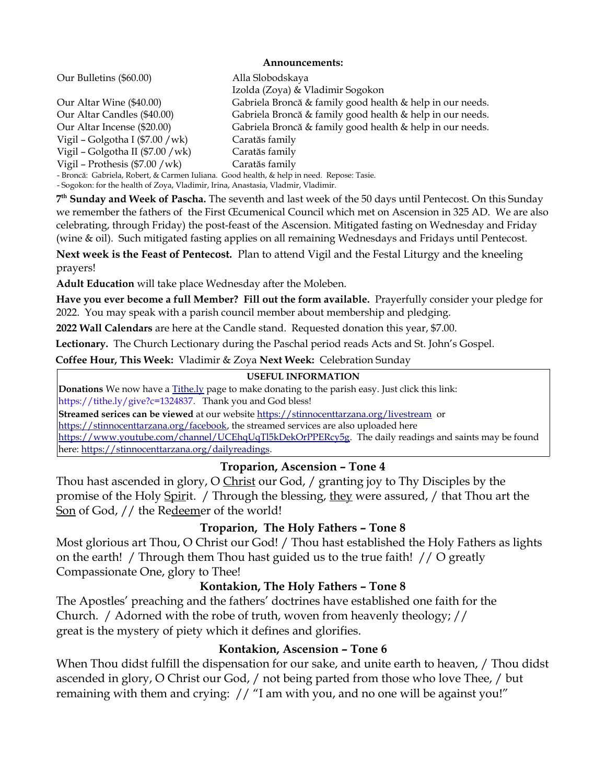#### **Announcements:**

| Our Bulletins (\$60.00)                                                                   | Alla Slobodskaya                                          |
|-------------------------------------------------------------------------------------------|-----------------------------------------------------------|
|                                                                                           | Izolda (Zoya) & Vladimir Sogokon                          |
| Our Altar Wine (\$40.00)                                                                  | Gabriela Broncă & family good health & help in our needs. |
| Our Altar Candles (\$40.00)                                                               | Gabriela Broncă & family good health & help in our needs. |
| Our Altar Incense (\$20.00)                                                               | Gabriela Broncă & family good health & help in our needs. |
| Vigil – Golgotha I (\$7.00 / wk)                                                          | Caratăs family                                            |
| Vigil - Golgotha II (\$7.00 /wk)                                                          | Caratăs family                                            |
| Vigil - Prothesis $(\$7.00 / wk)$                                                         | Caratăs family                                            |
| - Broncă: Gabriela, Robert, & Carmen Iuliana. Good health, & help in need. Repose: Tasie. |                                                           |
| - Sogokon: for the health of Zoya, Vladimir, Irina, Anastasia, Vladmir, Vladimir.         |                                                           |

**7 th Sunday and Week of Pascha.** The seventh and last week of the 50 days until Pentecost. On this Sunday we remember the fathers of the First Œcumenical Council which met on Ascension in 325 AD. We are also celebrating, through Friday) the post-feast of the Ascension. Mitigated fasting on Wednesday and Friday (wine & oil). Such mitigated fasting applies on all remaining Wednesdays and Fridays until Pentecost.

**Next week is the Feast of Pentecost.** Plan to attend Vigil and the Festal Liturgy and the kneeling prayers!

**Adult Education** will take place Wednesday after the Moleben.

**Have you ever become a full Member? Fill out the form available.** Prayerfully consider your pledge for 2022. You may speak with a parish council member about membership and pledging.

**2022 Wall Calendars** are here at the Candle stand. Requested donation this year, \$7.00.

**Lectionary.** The Church Lectionary during the Paschal period reads Acts and St. John's Gospel.

**Coffee Hour, This Week:** Vladimir & Zoya **Next Week:** Celebration Sunday

#### **USEFUL INFORMATION**

**Donations** We now have a [Tithe.ly](https://l.facebook.com/l.php?u=http%3A%2F%2FTithe.ly%2F%3Ffbclid%3DIwAR36SuGFlfrLz5YNR1U8LSCSdVrEokSHDvM6ytgLcmvaK16SvlnqlL_Eu40&h=AT3J17ynS-to-mmtXFE1q5zC1Tf7dn9ec4Wbm87KQasA0pBpM3wP3lZHVGThJ3YhrxWbvFNig7II9xZ0oJYzuiflW3AXrPnER-FWUDsU8GzHCNaVZCuefVzl2C9of4JiMDwq8tYCsxvaFvs58OYW_CielTlYWw0imRLMzeUi74R9LxjG-9yo2IlWAtT9wJ0Wg0_f87JA5xJ1expSBMnckfqoxb7RONI5AileXNU_BNjJOBoZDD8GMW6cdRvvzJu8pSYcLK-Vb2ybwOp37hNs6Eghz1POiFg278SZaEA3SMvtNaGPfY2HAiHc2XdTExh0-pLeUA_0JqxaATWOBYdj-MDpYULEopdAiXr0a1rPhmJEYl4JhIIXka0m6BNWOD7pcW8NCMVKgsSxddw-A86lG4TxcQaG1IywBNs2ZUCFIZro_-GLJ4GSB-C_pw5Xvw7d-iFgoi1DR6TNQrZFHo4YWojX8L1aiYGxrAYemHVkSdUQvfixFAL3oP0smV5-fRHSDd0dfl2S4ijuAxjFgEfR1ji7Vn1j0QIJlH1X0hfXvWfEcz97Pin_ercwC4XPqoocSiXzEsK1CBWME6O8fEpR9jTVJwzryWDMY3lL2cVR1rXB103NnED4CR5EHhszErgMK8pUWwm-4wvk0bA) page to make donating to the parish easy. Just click this link: [https://tithe.ly/give?c=1324837.](https://tithe.ly/give?c=1324837) Thank you and God bless!

**Streamed serices can be viewed** at our website<https://stinnocenttarzana.org/livestream>or

[https://stinnocenttarzana.org/facebook,](https://stinnocenttarzana.org/facebook) the streamed services are also uploaded here

[https://www.youtube.com/channel/UCEhqUqTl5kDekOrPPERcy5g.](https://www.youtube.com/channel/UCEhqUqTl5kDekOrPPERcy5g) The daily readings and saints may be found here: [https://stinnocenttarzana.org/dailyreadings.](https://stinnocenttarzana.org/dailyreadings)

# **Troparion, Ascension – Tone 4**

Thou hast ascended in glory, O Christ our God, / granting joy to Thy Disciples by the promise of the Holy Spirit. / Through the blessing, they were assured, / that Thou art the Son of God, // the Redeemer of the world!

# **Troparion, The Holy Fathers – Tone 8**

Most glorious art Thou, O Christ our God! / Thou hast established the Holy Fathers as lights on the earth! / Through them Thou hast guided us to the true faith! // O greatly Compassionate One, glory to Thee!

# **Kontakion, The Holy Fathers – Tone 8**

The Apostles' preaching and the fathers' doctrines have established one faith for the Church. / Adorned with the robe of truth, woven from heavenly theology; // great is the mystery of piety which it defines and glorifies.

# **Kontakion, Ascension – Tone 6**

When Thou didst fulfill the dispensation for our sake, and unite earth to heaven, / Thou didst ascended in glory, O Christ our God, / not being parted from those who love Thee, / but remaining with them and crying: // "I am with you, and no one will be against you!"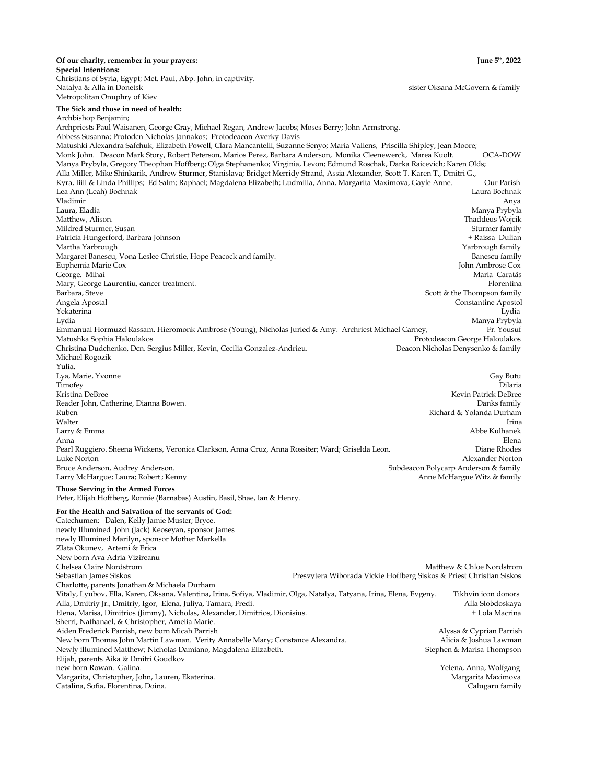#### **Of our charity, remember in your prayers: June 5th, 2022 Special Intentions:**

Christians of Syria, Egypt; Met. Paul, Abp. John, in captivity. Natalya & Alla in Donetsk sister Oksana McGovern & family Metropolitan Onuphry of Kiev

#### **The Sick and those in need of health:**

Archbishop Benjamin;

Archpriests Paul Waisanen, George Gray, Michael Regan, Andrew Jacobs; Moses Berry; John Armstrong. Abbess Susanna; Protodcn Nicholas Jannakos; Protodeacon Averky Davis Matushki Alexandra Safchuk, Elizabeth Powell, Clara Mancantelli, Suzanne Senyo; Maria Vallens, Priscilla Shipley, Jean Moore; Monk John. Deacon Mark Story, Robert Peterson, Marios Perez, Barbara Anderson, Monika Cleenewerck, Marea Kuolt. OCA-DOW Manya Prybyla, Gregory Theophan Hoffberg; Olga Stephanenko; Virginia, Levon; Edmund Roschak, Darka Raicevich; Karen Olds; Alla Miller, Mike Shinkarik, Andrew Sturmer, Stanislava; Bridget Merridy Strand, Assia Alexander, Scott T. Karen T., Dmitri G., Kyra, Bill & Linda Phillips; Ed Salm; Raphael; Magdalena Elizabeth; Ludmilla, Anna, Margarita Maximova, Gayle Anne. Our Parish Lea Ann (Leah) Bochnak Laura Bochnak Vladimir Anya

Laura, Eladia Manya Prybyla Matthew, Alison. Thaddeus Wojcik Mildred Sturmer, Susan Sturmer family and the Sturmer family studies of the Sturmer family sturmer family sturmer family Patricia Hungerford, Barbara Johnson + Raissa Dulian Martha Yarbrough Yarbrough family Margaret Banescu, Vona Leslee Christie, Hope Peacock and family.<br>Banescu family Banescu family Burghermia Marie Cox Euphemia Marie Cox George. Mihai Maria Caratăs Mary, George Laurentiu, cancer treatment. Florentina barbara, Steve Florentina barbara, Steve Florentina barbara, Steve Florentina barbara, Steve Florentina barbara, Steve Florentina barbara, Steve Florentina barbara, Stev Scott & the Thompson family Angela Apostal Constantine Apostol Yekaterina Lydia Lydia Manya Prybyla Emmanual Hormuzd Rassam. Hieromonk Ambrose (Young), Nicholas Juried & Amy. Archriest Michael Carney, Fr. Yousuf Matushka Sophia Haloulakos Protodeacon George Haloulakos Christina Dudchenko, Dcn. Sergius Miller, Kevin, Cecilia Gonzalez-Andrieu. Deacon Nicholas Denysenko & family Michael Rogozik

Yulia. Lya, Marie, Yvonne Gay Butu Timofey Dilaria Kristina DeBree Kevin Patrick DeBree Reader John, Catherine, Dianna Bowen. Danks family Ruben Richard & Yolanda Durham walter the control of the control of the control of the control of the control of the control of the control of the control of the control of the control of the control of the control of the control of the control of the c Larry & Emma Abbe Kulhanek and the state of the state of the state of the state of the Abbe Kulhanek and Abbe Kulhanek and Abbe Kulhanek and Abbe Kulhanek and Abbe Kulhanek and Abbe Kulhanek and Abbe Kulhanek and Abbe Kulh Anna Elena Pearl Ruggiero. Sheena Wickens, Veronica Clarkson, Anna Cruz, Anna Rossiter; Ward; Griselda Leon. Diane Rhodes Luke Norton Alexander Norton Bruce Anderson, Audrey Anderson. Subdeacon Polycarp Anderson & family Larry McHargue; Laura; Robert; Kenny Anne McHargue Witz & family

#### **Those Serving in the Armed Forces**

Peter, Elijah Hoffberg, Ronnie (Barnabas) Austin, Basil, Shae, Ian & Henry.

#### **For the Health and Salvation of the servants of God:**

Catechumen: Dalen, Kelly Jamie Muster; Bryce. newly Illumined John (Jack) Keoseyan, sponsor James newly Illumined Marilyn, sponsor Mother Markella Zlata Okunev, Artemi & Erica New born Ava Adria Vizireanu Chelsea Claire Nordstrom Matthew & Chloe Nordstrom Sebastian James Siskos Presvytera Wiborada Vickie Hoffberg Siskos & Priest Christian Siskos Charlotte, parents Jonathan & Michaela Durham Vitaly, Lyubov, Ella, Karen, Oksana, Valentina, Irina, Sofiya, Vladimir, Olga, Natalya, Tatyana, Irina, Elena, Evgeny. Tikhvin icon donors Alla, Dmitriy Jr., Dmitriy, Igor, Elena, Juliya, Tamara, Fredi. Alla Slobdoskaya Elena, Marisa, Dimitrios (Jimmy), Nicholas, Alexander, Dimitrios, Dionisius. + Lola Macrina Sherri, Nathanael, & Christopher, Amelia Marie. Aiden Frederick Parrish, new born Micah Parrish Alyssa & Cyprian Parrish New born Thomas John Martin Lawman. Verity Annabelle Mary; Constance Alexandra. Alicia & Joshua Lawman Newly illumined Matthew; Nicholas Damiano, Magdalena Elizabeth. Stephen & Marisa Thompson Elijah, parents Aika & Dmitri Goudkov new born Rowan. Galina. Yelena, Anna, Wolfgang Margarita, Christopher, John, Lauren, Ekaterina. Margarita Maximova Catalina, Sofia, Florentina, Doina. Calugaru family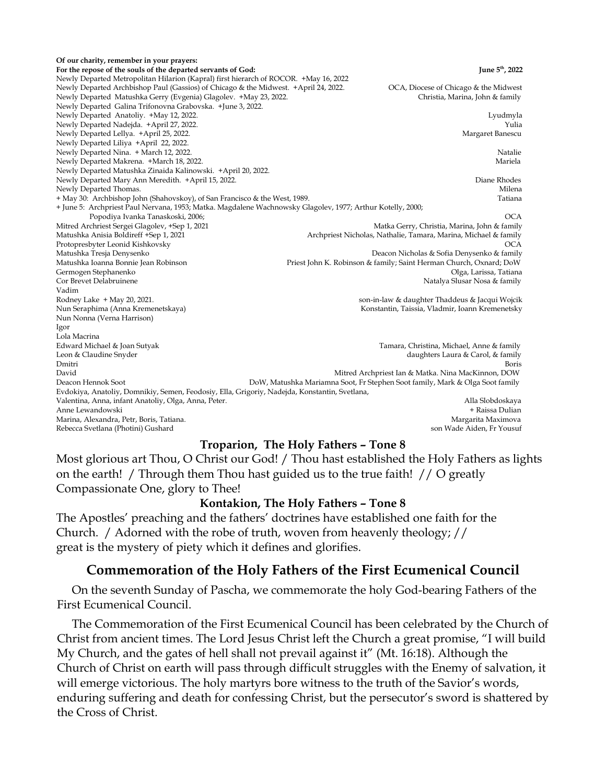**Of our charity, remember in your prayers:**  For the repose of the souls of the departed servants of God: June 5<sup>th</sup>, 2022 Newly Departed Metropolitan Hilarion (Kapral) first hierarch of ROCOR. +May 16, 2022 Newly Departed Archbishop Paul (Gassios) of Chicago & the Midwest. +April 24, 2022. OCA, Diocese of Chicago & the Midwest<br>Newly Departed Matushka Gerry (Evgenia) Glagolev. +May 23, 2022. Christia, Marina, John & family Newly Departed Matushka Gerry (Evgenia) Glagolev. +May 23, 2022. Newly Departed Galina Trifonovna Grabovska. +June 3, 2022. Newly Departed Anatoliy. +May 12, 2022. Lyudmyla Newly Departed Nadejda. +April 27, 2022. Yulia Newly Departed Lellya. +April 25, 2022. Newly Departed Liliya +April 22, 2022. Newly Departed Nina. + March 12, 2022. Natalie Newly Departed Makrena. +March 18, 2022. Mariela Newly Departed Matushka Zinaida Kalinowski. +April 20, 2022. Newly Departed Mary Ann Meredith. +April 15, 2022. Diane Rhodes Newly Departed Thomas. Milena and the contract of the contract of the contract of the contract of the contract of the contract of the contract of the contract of the contract of the contract of the contract of the contract + May 30: Archbishop John (Shahovskoy), of San Francisco & the West, 1989. Tatiana + June 5: Archpriest Paul Nervana, 1953; Matka. Magdalene Wachnowsky Glagolev, 1977; Arthur Kotelly, 2000; Popodiya Ivanka Tanaskoski, 2006; OCA Mitred Archriest Sergei Glagolev, +Sep 1, 2021 Matka Gerry, Christia, Marina, John & family Matushka Anisia Boldireff +Sep 1, 2021 Archpriest Nicholas, Nathalie, Tamara, Marina, Michael & family Protopresbyter Leonid Kishkovsky Matushka Tresja Denysenko Deacon Nicholas & Sofia Denysenko & family Matushka Ioanna Bonnie Jean Robinson Priest John K. Robinson & family; Saint Herman Church, Oxnard; DoW Germogen Stephanenko Olga, Larissa, Tatiana Cor Brevet Delabruinene Natalya Slusar Nosa & family Vadim Rodney Lake + May 20, 2021. son-in-law & daughter Thaddeus & Jacqui Wojcik Konstantin, Taissia, Vladmir, Ioann Kremenetsky Nun Nonna (Verna Harrison) Igor Lola Macrina Edward Michael & Joan Sutyak Tamara, Christina, Michael, Anne & family Leon & Claudine Snyder daughters Laura & Carol, & family Dmitri Boris David Mitred Archpriest Ian & Matka. Nina MacKinnon, DOW Deacon Hennok Soot DoW, Matushka Mariamna Soot, Fr Stephen Soot family, Mark & Olga Soot family Evdokiya, Anatoliy, Domnikiy, Semen, Feodosiy, Ella, Grigoriy, Nadejda, Konstantin, Svetlana, Valentina, Anna, infant Anatoliy, Olga, Anna, Peter. Alla Slobdoskaya Anne Lewandowski + Raissa Dulian Marina, Alexandra, Petr, Boris, Tatiana. Margarita Maximova Rebecca Svetlana (Photini) Gushard son Wade Aiden, Fr Yousuf

#### **Troparion, The Holy Fathers – Tone 8**

Most glorious art Thou, O Christ our God! / Thou hast established the Holy Fathers as lights on the earth! / Through them Thou hast guided us to the true faith! // O greatly Compassionate One, glory to Thee!

# **Kontakion, The Holy Fathers – Tone 8**

The Apostles' preaching and the fathers' doctrines have established one faith for the Church. / Adorned with the robe of truth, woven from heavenly theology; // great is the mystery of piety which it defines and glorifies.

# **Commemoration of the Holy Fathers of the First Ecumenical Council**

 On the seventh Sunday of Pascha, we commemorate the holy God-bearing Fathers of the First Ecumenical Council.

 The Commemoration of the First Ecumenical Council has been celebrated by the Church of Christ from ancient times. The Lord Jesus Christ left the Church a great promise, "I will build My Church, and the gates of hell shall not prevail against it" (Mt. 16:18). Although the Church of Christ on earth will pass through difficult struggles with the Enemy of salvation, it will emerge victorious. The holy martyrs bore witness to the truth of the Savior's words, enduring suffering and death for confessing Christ, but the persecutor's sword is shattered by the Cross of Christ.